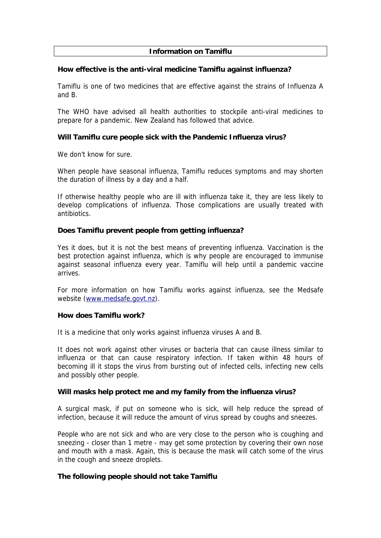# **Information on Tamiflu**

#### **How effective is the anti-viral medicine Tamiflu against influenza?**

Tamiflu is one of two medicines that are effective against the strains of Influenza A and B.

The WHO have advised all health authorities to stockpile anti-viral medicines to prepare for a pandemic. New Zealand has followed that advice.

## **Will Tamiflu cure people sick with the Pandemic Influenza virus?**

We don't know for sure.

When people have seasonal influenza, Tamiflu reduces symptoms and may shorten the duration of illness by a day and a half.

If otherwise healthy people who are ill with influenza take it, they are less likely to develop complications of influenza. Those complications are usually treated with antibiotics.

## **Does Tamiflu prevent people from getting influenza?**

Yes it does, but it is not the best means of preventing influenza. Vaccination is the best protection against influenza, which is why people are encouraged to immunise against seasonal influenza every year. Tamiflu will help until a pandemic vaccine arrives.

For more information on how Tamiflu works against influenza, see the Medsafe website ([www.medsafe.govt.nz](http://www.medsafe.govt.nz/)).

#### **How does Tamiflu work?**

It is a medicine that only works against influenza viruses A and B.

It does not work against other viruses or bacteria that can cause illness similar to influenza or that can cause respiratory infection. If taken within 48 hours of becoming ill it stops the virus from bursting out of infected cells, infecting new cells and possibly other people.

#### **Will masks help protect me and my family from the influenza virus?**

A surgical mask, if put on someone who is sick, will help reduce the spread of infection, because it will reduce the amount of virus spread by coughs and sneezes.

People who are not sick and who are very close to the person who is coughing and sneezing - closer than 1 metre - may get some protection by covering their own nose and mouth with a mask. Again, this is because the mask will catch some of the virus in the cough and sneeze droplets.

#### **The following people should not take Tamiflu**